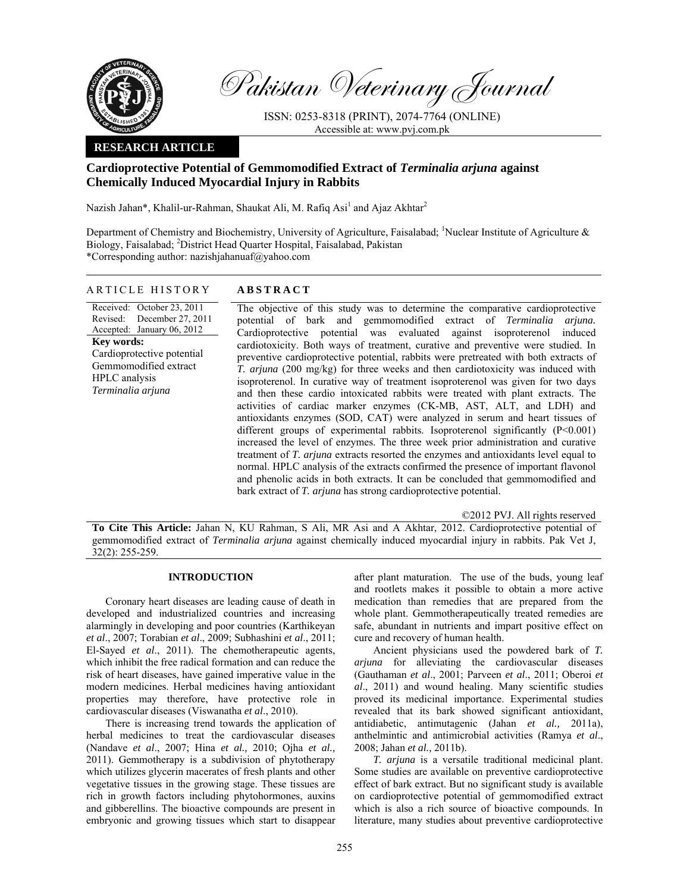

Pakistan Veterinary Journal

ISSN: 0253-8318 (PRINT), 2074-7764 (ONLINE) Accessible at: www.pvj.com.pk

## **RESEARCH ARTICLE**

# **Cardioprotective Potential of Gemmomodified Extract of** *Terminalia arjuna* **against Chemically Induced Myocardial Injury in Rabbits**

Nazish Jahan\*, Khalil-ur-Rahman, Shaukat Ali, M. Rafiq Asi<sup>1</sup> and Ajaz Akhtar<sup>2</sup>

Department of Chemistry and Biochemistry, University of Agriculture, Faisalabad; <sup>1</sup>Nuclear Institute of Agriculture  $\&$ Biology, Faisalabad; <sup>2</sup>District Head Quarter Hospital, Faisalabad, Pakistan \*Corresponding author: nazishjahanuaf@yahoo.com

### ARTICLE HISTORY **ABSTRACT**

Received: October 23, 2011 Revised: December 27, 2011 Accepted: January 06, 2012 **Key words:**  Cardioprotective potential Gemmomodified extract HPLC analysis *Terminalia arjuna* 

The objective of this study was to determine the comparative cardioprotective potential of bark and gemmomodified extract of *Terminalia arjuna.*  Cardioprotective potential was evaluated against isoproterenol induced cardiotoxicity. Both ways of treatment, curative and preventive were studied. In preventive cardioprotective potential, rabbits were pretreated with both extracts of *T. arjuna* (200 mg/kg) for three weeks and then cardiotoxicity was induced with isoproterenol. In curative way of treatment isoproterenol was given for two days and then these cardio intoxicated rabbits were treated with plant extracts. The activities of cardiac marker enzymes (CK-MB, AST, ALT, and LDH) and antioxidants enzymes (SOD, CAT) were analyzed in serum and heart tissues of different groups of experimental rabbits. Isoproterenol significantly (P<0.001) increased the level of enzymes. The three week prior administration and curative treatment of *T. arjuna* extracts resorted the enzymes and antioxidants level equal to normal. HPLC analysis of the extracts confirmed the presence of important flavonol and phenolic acids in both extracts. It can be concluded that gemmomodified and bark extract of *T. arjuna* has strong cardioprotective potential.

©2012 PVJ. All rights reserved

**To Cite This Article:** Jahan N, KU Rahman, S Ali, MR Asi and A Akhtar, 2012. Cardioprotective potential of gemmomodified extract of *Terminalia arjuna* against chemically induced myocardial injury in rabbits. Pak Vet J, 32(2): 255-259.

# **INTRODUCTION**

Coronary heart diseases are leading cause of death in developed and industrialized countries and increasing alarmingly in developing and poor countries (Karthikeyan *et al*., 2007; Torabian *et al*., 2009; Subhashini *et al*., 2011; El-Sayed *et al*., 2011). The chemotherapeutic agents, which inhibit the free radical formation and can reduce the risk of heart diseases, have gained imperative value in the modern medicines. Herbal medicines having antioxidant properties may therefore, have protective role in cardiovascular diseases (Viswanatha *et al*., 2010).

There is increasing trend towards the application of herbal medicines to treat the cardiovascular diseases (Nandave *et al*., 2007; Hina *et al.,* 2010; Ojha *et al.,* 2011). Gemmotherapy is a subdivision of phytotherapy which utilizes glycerin macerates of fresh plants and other vegetative tissues in the growing stage. These tissues are rich in growth factors including phytohormones, auxins and gibberellins. The bioactive compounds are present in embryonic and growing tissues which start to disappear

after plant maturation. The use of the buds, young leaf and rootlets makes it possible to obtain a more active medication than remedies that are prepared from the whole plant. Gemmotherapeutically treated remedies are safe, abundant in nutrients and impart positive effect on cure and recovery of human health.

Ancient physicians used the powdered bark of *T. arjuna* for alleviating the cardiovascular diseases (Gauthaman *et al*., 2001; Parveen *et al*., 2011; Oberoi *et al*., 2011) and wound healing. Many scientific studies proved its medicinal importance. Experimental studies revealed that its bark showed significant antioxidant, antidiabetic, antimutagenic (Jahan *et al.,* 2011a), anthelmintic and antimicrobial activities (Ramya *et al*., 2008; Jahan *et al.,* 2011b).

*T. arjuna* is a versatile traditional medicinal plant. Some studies are available on preventive cardioprotective effect of bark extract. But no significant study is available on cardioprotective potential of gemmomodified extract which is also a rich source of bioactive compounds. In literature, many studies about preventive cardioprotective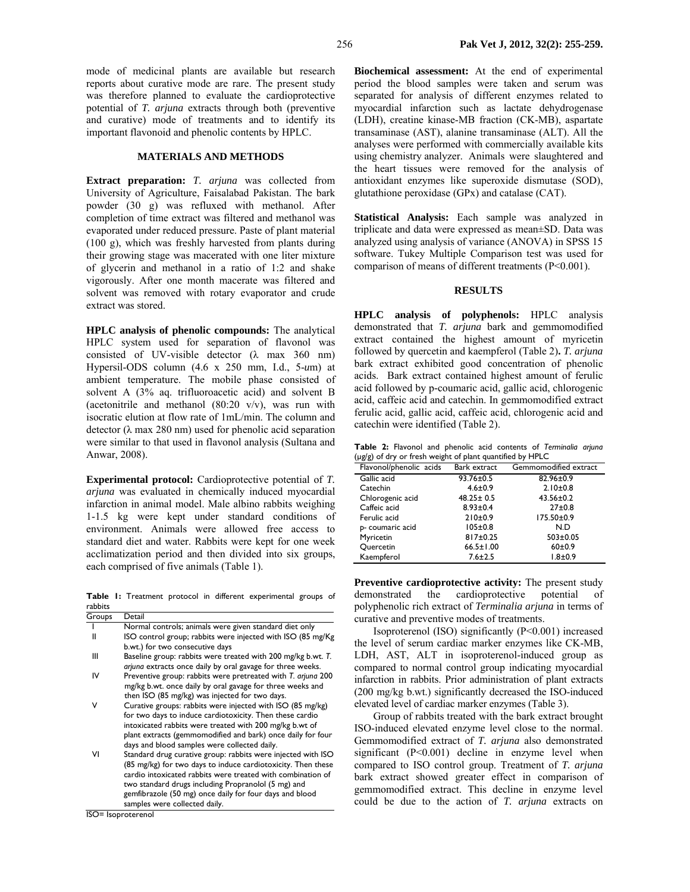mode of medicinal plants are available but research reports about curative mode are rare. The present study was therefore planned to evaluate the cardioprotective potential of *T. arjuna* extracts through both (preventive and curative) mode of treatments and to identify its important flavonoid and phenolic contents by HPLC.

#### **MATERIALS AND METHODS**

**Extract preparation:** *T. arjuna* was collected from University of Agriculture, Faisalabad Pakistan. The bark powder (30 g) was refluxed with methanol. After completion of time extract was filtered and methanol was evaporated under reduced pressure. Paste of plant material (100 g), which was freshly harvested from plants during their growing stage was macerated with one liter mixture of glycerin and methanol in a ratio of 1:2 and shake vigorously. After one month macerate was filtered and solvent was removed with rotary evaporator and crude extract was stored.

**HPLC analysis of phenolic compounds:** The analytical HPLC system used for separation of flavonol was consisted of UV-visible detector  $(\lambda$  max 360 nm) Hypersil-ODS column (4.6 x 250 mm, I.d., 5-*u*m) at ambient temperature. The mobile phase consisted of solvent A (3% aq. trifluoroacetic acid) and solvent B (acetonitrile and methanol  $(80:20 \text{ v/v})$ , was run with isocratic elution at flow rate of 1mL/min. The column and detector ( $\lambda$  max 280 nm) used for phenolic acid separation were similar to that used in flavonol analysis (Sultana and Anwar, 2008).

**Experimental protocol:** Cardioprotective potential of *T. arjuna* was evaluated in chemically induced myocardial infarction in animal model. Male albino rabbits weighing 1-1.5 kg were kept under standard conditions of environment. Animals were allowed free access to standard diet and water. Rabbits were kept for one week acclimatization period and then divided into six groups, each comprised of five animals (Table 1).

**Table 1:** Treatment protocol in different experimental groups of rabbits

| Groups | Detail                                                       |
|--------|--------------------------------------------------------------|
|        | Normal controls; animals were given standard diet only       |
| Ш      | ISO control group; rabbits were injected with ISO (85 mg/Kg) |
|        | b.wt.) for two consecutive days                              |
| Ш      | Baseline group: rabbits were treated with 200 mg/kg b.wt. T. |
|        | arjuna extracts once daily by oral gavage for three weeks.   |
| IV     | Preventive group: rabbits were pretreated with T. arjuna 200 |
|        | mg/kg b.wt. once daily by oral gavage for three weeks and    |
|        | then ISO (85 mg/kg) was injected for two days.               |
| ٧      | Curative groups: rabbits were injected with ISO (85 mg/kg)   |
|        | for two days to induce cardiotoxicity. Then these cardio     |
|        | intoxicated rabbits were treated with 200 mg/kg b.wt of      |
|        | plant extracts (gemmomodified and bark) once daily for four  |
|        | days and blood samples were collected daily.                 |
| ٧ı     | Standard drug curative group: rabbits were injected with ISO |
|        | (85 mg/kg) for two days to induce cardiotoxicity. Then these |
|        | cardio intoxicated rabbits were treated with combination of  |
|        | two standard drugs including Propranolol (5 mg) and          |
|        | gemfibrazole (50 mg) once daily for four days and blood      |
|        | samples were collected daily.                                |

ISO= Isoproterenol

**Biochemical assessment:** At the end of experimental period the blood samples were taken and serum was separated for analysis of different enzymes related to myocardial infarction such as lactate dehydrogenase (LDH), creatine kinase-MB fraction (CK-MB), aspartate transaminase (AST), alanine transaminase (ALT). All the analyses were performed with commercially available kits using chemistry analyzer. Animals were slaughtered and the heart tissues were removed for the analysis of antioxidant enzymes like superoxide dismutase (SOD), glutathione peroxidase (GPx) and catalase (CAT).

**Statistical Analysis:** Each sample was analyzed in triplicate and data were expressed as mean±SD. Data was analyzed using analysis of variance (ANOVA) in SPSS 15 software. Tukey Multiple Comparison test was used for comparison of means of different treatments (P<0.001).

# **RESULTS**

**HPLC analysis of polyphenols:** HPLC analysis demonstrated that *T. arjuna* bark and gemmomodified extract contained the highest amount of myricetin followed by quercetin and kaempferol (Table 2)**.** *T. arjuna* bark extract exhibited good concentration of phenolic acids. Bark extract contained highest amount of ferulic acid followed by p*-*coumaric acid, gallic acid, chlorogenic acid, caffeic acid and catechin. In gemmomodified extract ferulic acid, gallic acid, caffeic acid, chlorogenic acid and catechin were identified (Table 2).

|                                                           |  |  |  |  |  |  |  | Table 2: Flavonol and phenolic acid contents of Terminalia arjuna |  |
|-----------------------------------------------------------|--|--|--|--|--|--|--|-------------------------------------------------------------------|--|
| (µg/g) of dry or fresh weight of plant quantified by HPLC |  |  |  |  |  |  |  |                                                                   |  |

| Flavonol/phenolic acids | Bark extract    | Gemmomodified extract |
|-------------------------|-----------------|-----------------------|
| Gallic acid             | 93.76±0.5       | 82.96±0.9             |
| Catechin                | $4.6 \pm 0.9$   | $2.10 \pm 0.8$        |
| Chlorogenic acid        | $48.25 \pm 0.5$ | $43.56 \pm 0.2$       |
| Caffeic acid            | $8.93 \pm 0.4$  | $27+0.8$              |
| Ferulic acid            | 210±0.9         | 175.50±0.9            |
| p- coumaric acid        | $105 \pm 0.8$   | N.D                   |
| Myricetin               | 817±0.25        | $503 \pm 0.05$        |
| Quercetin               | $66.5 \pm 1.00$ | $60+0.9$              |
| Kaempferol              | $7.6 \pm 2.5$   | $1.8 + 0.9$           |

**Preventive cardioprotective activity:** The present study demonstrated the cardioprotective potential of polyphenolic rich extract of *Terminalia arjuna* in terms of curative and preventive modes of treatments.

Isoproterenol (ISO) significantly (P<0.001) increased the level of serum cardiac marker enzymes like CK-MB, LDH, AST, ALT in isoproterenol-induced group as compared to normal control group indicating myocardial infarction in rabbits. Prior administration of plant extracts (200 mg/kg b.wt.) significantly decreased the ISO-induced elevated level of cardiac marker enzymes (Table 3).

Group of rabbits treated with the bark extract brought ISO-induced elevated enzyme level close to the normal. Gemmomodified extract of *T. arjuna* also demonstrated significant  $(P<0.001)$  decline in enzyme level when compared to ISO control group. Treatment of *T. arjuna* bark extract showed greater effect in comparison of gemmomodified extract. This decline in enzyme level could be due to the action of *T. arjuna* extracts on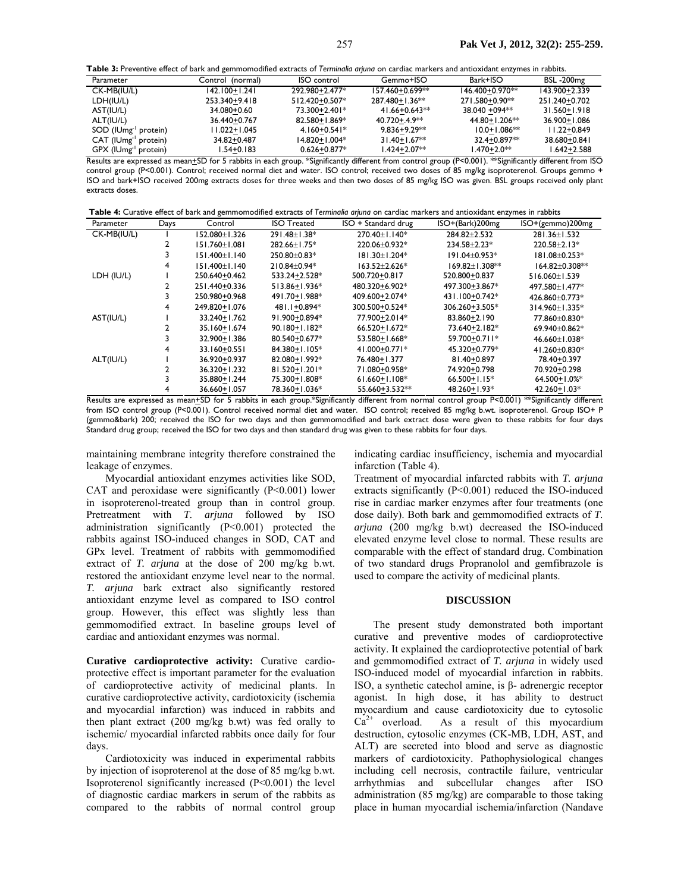**Table 3:** Preventive effect of bark and gemmomodified extracts of *Terminalia arjuna* on cardiac markers and antioxidant enzymes in rabbits.

| Parameter                        | Control (normal) | <b>ISO</b> control | Gemmo+ISO           | Bark+ISO         | <b>BSL-200mg</b> |
|----------------------------------|------------------|--------------------|---------------------|------------------|------------------|
| CK-MB(IU/L)                      | 142.100+1.241    | 292.980+2.477*     | 157.460+0.699**     | 146.400+0.970**  | 143.900+2.339    |
| LDH(IU/L)                        | 253.340+9.418    | 512.420+0.507*     | $287.480 + 1.36$ ** | 271.580+0.90**   | 251.240+0.702    |
| AST(IU/L)                        | 34.080+0.60      | 73.300+2.401*      | $41.66 + 0.643**$   | 38.040 + 094**   | 31.560+1.918     |
| ALT(IU/L)                        | 36.440+0.767     | 82.580+1.869*      | $40.720 + 4.9**$    | 44.80+1.206**    | 36.900+1.086     |
| SOD (IUmg <sup>-1</sup> protein) | 11.022+1.045     | $4.160 + 0.541*$   | $9.836 + 9.29**$    | $10.0 + 1.086**$ | $11.22 + 0.849$  |
| CAT (IUmg <sup>-1</sup> protein) | 34.82+0.487      | 14.820+1.004*      | $31.40 + 1.67**$    | 32.4+0.897**     | 38.680+0.841     |
| GPX (IUmg <sup>-1</sup> protein) | 1.54+0.183       | $0.626 + 0.877*$   | I.424+2.07**        | 1.470+2.0**      | $1.642 + 2.588$  |
|                                  |                  |                    |                     |                  |                  |

Results are expressed as mean+SD for 5 rabbits in each group. \*Significantly different from control group (P<0.001). \*\*Significantly different from ISO control group (P<0.001). Control; received normal diet and water. ISO control; received two doses of 85 mg/kg isoproterenol. Groups gemmo + ISO and bark+ISO received 200mg extracts doses for three weeks and then two doses of 85 mg/kg ISO was given. BSL groups received only plant extracts doses.

**Table 4:** Curative effect of bark and gemmomodified extracts of *Terminalia arjuna* on cardiac markers and antioxidant enzymes in rabbits

| Parameter   | Days | Control           | <b>ISO Treated</b> | ISO + Standard drug | ISO+(Bark)200mg    | $ISO+(gemmo)200mg$   |
|-------------|------|-------------------|--------------------|---------------------|--------------------|----------------------|
| CK-MB(IU/L) |      | $152.080 + 1.326$ | 291.48±1.38*       | $270.40 + 1.140*$   | 284.82+2.532       | 281.36±1.532         |
|             |      | $151.760 + 1.081$ | 282.66±1.75*       | 220.06±0.932*       | $234.58 + 2.23*$   | $220.58 + 2.13*$     |
|             |      | $151.400 + 1.140$ | $250.80 + 0.83*$   | 181.30±1.204*       | $191.04 + 0.953*$  | 181.08±0.253*        |
|             | 4    | $151.400 + 1.140$ | $210.84 + 0.94*$   | $163.52 + 2.626*$   | $169.82 + 1.308**$ | $164.82 \pm 0.308**$ |
| LDH (IU/L)  |      | 250.640+0.462     | 533.24+2.528*      | 500.720+0.817       | 520.800+0.837      | $516.060 \pm 1.539$  |
|             |      | 251.440+0.336     | 513.86+1.936*      | 480.320+6.902*      | 497.300+3.867*     | 497.580+1.477*       |
|             |      | 250.980+0.968     | 491.70+1.988*      | 409.600+2.074*      | 431.100+0.742*     | 426.860+0.773*       |
|             |      | 249.820+1.076     | 481.1+0.894*       | 300.500+0.524*      | 306.260+3.505*     | 314.960+1.335*       |
| AST(IU/L)   |      | 33.240+1.762      | 91.900+0.894*      | 77.900+2.014*       | 83.860+2.190       | 77.860+0.830*        |
|             |      | 35.160+1.674      | 90.180+1.182*      | $66.520 + 1.672*$   | 73.640+2.182*      | 69.940±0.862*        |
|             |      | 32.900+1.386      | 80.540+0.677*      | 53.580+1.668*       | 59.700+0.711*      | 46.660±1.038*        |
|             |      | 33.160+0.551      | 84.380+1.105*      | 41.000+0.771*       | 45.320+0.779*      | 41.260±0.830*        |
| ALT(IU/L)   |      | 36.920+0.937      | 82.080+1.992*      | 76.480+1.377        | 81.40+0.897        | 78.40+0.397          |
|             |      | 36.320+1.232      | 81.520+1.201*      | 71.080+0.958*       | 74.920+0.798       | 70.920+0.298         |
|             |      | 35.880+1.244      | 75.300+1.808*      | $61.660 + 1.108*$   | $66.500 + 1.15*$   | 64.500+1.0%*         |
|             |      | 36.660+1.057      | 78.360+1.036*      | 55.660+3.532**      | 48.260+1.93*       | $42.260 + 1.03*$     |

Results are expressed as mean+SD for 5 rabbits in each group.\*Significantly different from normal control group P<0.001) \*\*Significantly different from ISO control group (P<0.001). Control received normal diet and water. ISO control; received 85 mg/kg b.wt. isoproterenol. Group ISO+ P (gemmo&bark) 200; received the ISO for two days and then gemmomodified and bark extract dose were given to these rabbits for four days Standard drug group; received the ISO for two days and then standard drug was given to these rabbits for four days.

maintaining membrane integrity therefore constrained the leakage of enzymes.

Myocardial antioxidant enzymes activities like SOD, CAT and peroxidase were significantly  $(P<0.001)$  lower in isoproterenol-treated group than in control group. Pretreatment with *T. arjuna* followed by ISO administration significantly (P<0.001) protected the rabbits against ISO-induced changes in SOD, CAT and GPx level. Treatment of rabbits with gemmomodified extract of *T. arjuna* at the dose of 200 mg/kg b.wt. restored the antioxidant enzyme level near to the normal. *T. arjuna* bark extract also significantly restored antioxidant enzyme level as compared to ISO control group. However, this effect was slightly less than gemmomodified extract. In baseline groups level of cardiac and antioxidant enzymes was normal.

**Curative cardioprotective activity:** Curative cardioprotective effect is important parameter for the evaluation of cardioprotective activity of medicinal plants. In curative cardioprotective activity, cardiotoxicity (ischemia and myocardial infarction) was induced in rabbits and then plant extract (200 mg/kg b.wt) was fed orally to ischemic/ myocardial infarcted rabbits once daily for four days.

Cardiotoxicity was induced in experimental rabbits by injection of isoproterenol at the dose of 85 mg/kg b.wt. Isoproterenol significantly increased (P<0.001) the level of diagnostic cardiac markers in serum of the rabbits as compared to the rabbits of normal control group indicating cardiac insufficiency, ischemia and myocardial infarction (Table 4).

Treatment of myocardial infarcted rabbits with *T. arjuna* extracts significantly (P<0.001) reduced the ISO-induced rise in cardiac marker enzymes after four treatments (one dose daily). Both bark and gemmomodified extracts of *T. arjuna* (200 mg/kg b.wt) decreased the ISO-induced elevated enzyme level close to normal. These results are comparable with the effect of standard drug. Combination of two standard drugs Propranolol and gemfibrazole is used to compare the activity of medicinal plants.

#### **DISCUSSION**

The present study demonstrated both important curative and preventive modes of cardioprotective activity. It explained the cardioprotective potential of bark and gemmomodified extract of *T. arjuna* in widely used ISO-induced model of myocardial infarction in rabbits. ISO, a synthetic catechol amine, is β- adrenergic receptor agonist. In high dose, it has ability to destruct myocardium and cause cardiotoxicity due to cytosolic  $Ca^{2+}$  overload. As a result of this myocardium destruction, cytosolic enzymes (CK-MB, LDH, AST, and ALT) are secreted into blood and serve as diagnostic markers of cardiotoxicity. Pathophysiological changes including cell necrosis, contractile failure, ventricular arrhythmias and subcellular changes after ISO administration (85 mg/kg) are comparable to those taking place in human myocardial ischemia/infarction (Nandave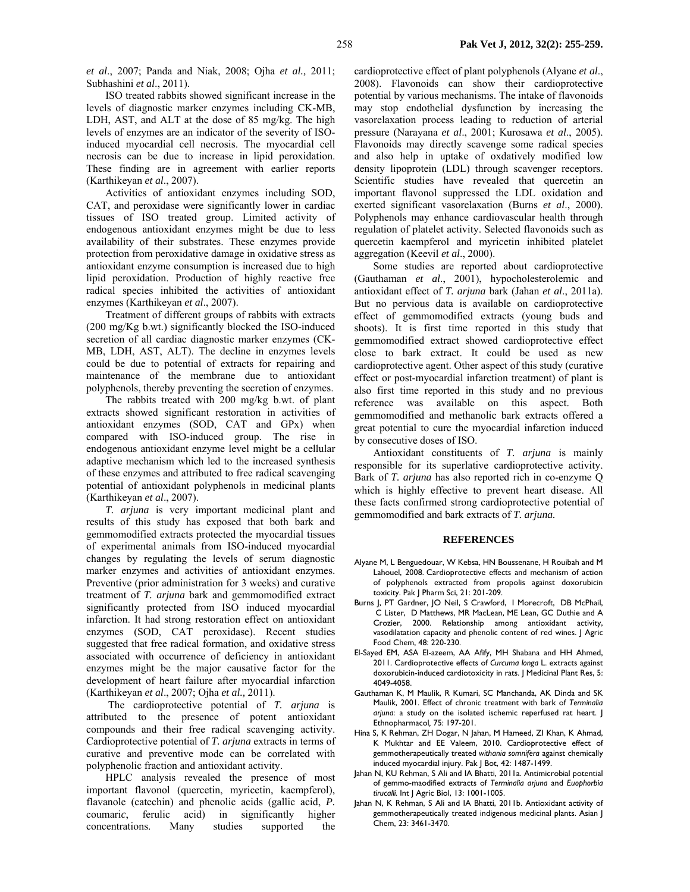*et al*., 2007; Panda and Niak, 2008; Ojha *et al.,* 2011; Subhashini *et al*., 2011).

ISO treated rabbits showed significant increase in the levels of diagnostic marker enzymes including CK-MB, LDH, AST, and ALT at the dose of 85 mg/kg. The high levels of enzymes are an indicator of the severity of ISOinduced myocardial cell necrosis. The myocardial cell necrosis can be due to increase in lipid peroxidation. These finding are in agreement with earlier reports (Karthikeyan *et al*., 2007).

Activities of antioxidant enzymes including SOD, CAT, and peroxidase were significantly lower in cardiac tissues of ISO treated group. Limited activity of endogenous antioxidant enzymes might be due to less availability of their substrates. These enzymes provide protection from peroxidative damage in oxidative stress as antioxidant enzyme consumption is increased due to high lipid peroxidation. Production of highly reactive free radical species inhibited the activities of antioxidant enzymes (Karthikeyan *et al*., 2007).

Treatment of different groups of rabbits with extracts (200 mg/Kg b.wt.) significantly blocked the ISO-induced secretion of all cardiac diagnostic marker enzymes (CK-MB, LDH, AST, ALT). The decline in enzymes levels could be due to potential of extracts for repairing and maintenance of the membrane due to antioxidant polyphenols, thereby preventing the secretion of enzymes.

The rabbits treated with 200 mg/kg b.wt. of plant extracts showed significant restoration in activities of antioxidant enzymes (SOD, CAT and GPx) when compared with ISO-induced group. The rise in endogenous antioxidant enzyme level might be a cellular adaptive mechanism which led to the increased synthesis of these enzymes and attributed to free radical scavenging potential of antioxidant polyphenols in medicinal plants (Karthikeyan *et al*., 2007).

*T. arjuna* is very important medicinal plant and results of this study has exposed that both bark and gemmomodified extracts protected the myocardial tissues of experimental animals from ISO-induced myocardial changes by regulating the levels of serum diagnostic marker enzymes and activities of antioxidant enzymes. Preventive (prior administration for 3 weeks) and curative treatment of *T. arjuna* bark and gemmomodified extract significantly protected from ISO induced myocardial infarction. It had strong restoration effect on antioxidant enzymes (SOD, CAT peroxidase). Recent studies suggested that free radical formation, and oxidative stress associated with occurrence of deficiency in antioxidant enzymes might be the major causative factor for the development of heart failure after myocardial infarction (Karthikeyan *et al*., 2007; Ojha *et al.,* 2011).

 The cardioprotective potential of *T. arjuna* is attributed to the presence of potent antioxidant compounds and their free radical scavenging activity. Cardioprotective potential of *T. arjuna* extracts in terms of curative and preventive mode can be correlated with polyphenolic fraction and antioxidant activity.

HPLC analysis revealed the presence of most important flavonol (quercetin, myricetin, kaempferol), flavanole (catechin) and phenolic acids (gallic acid, *P.*  coumari*c*, ferulic acid) in significantly higher concentrations. Many studies supported the

cardioprotective effect of plant polyphenols (Alyane *et al*., 2008). Flavonoids can show their cardioprotective potential by various mechanisms. The intake of flavonoids may stop endothelial dysfunction by increasing the vasorelaxation process leading to reduction of arterial pressure (Narayana *et al*., 2001; Kurosawa *et al*., 2005). Flavonoids may directly scavenge some radical species and also help in uptake of oxdatively modified low density lipoprotein (LDL) through scavenger receptors. Scientific studies have revealed that quercetin an important flavonol suppressed the LDL oxidation and exerted significant vasorelaxation (Burns *et al*., 2000). Polyphenols may enhance cardiovascular health through regulation of platelet activity. Selected flavonoids such as quercetin kaempferol and myricetin inhibited platelet aggregation (Keevil *et al*., 2000).

Some studies are reported about cardioprotective (Gauthaman *et al*., 2001), hypocholesterolemic and antioxidant effect of *T. arjuna* bark (Jahan *et al*., 2011a). But no pervious data is available on cardioprotective effect of gemmomodified extracts (young buds and shoots). It is first time reported in this study that gemmomodified extract showed cardioprotective effect close to bark extract. It could be used as new cardioprotective agent. Other aspect of this study (curative effect or post-myocardial infarction treatment) of plant is also first time reported in this study and no previous reference was available on this aspect. Both gemmomodified and methanolic bark extracts offered a great potential to cure the myocardial infarction induced by consecutive doses of ISO.

Antioxidant constituents of *T. arjuna* is mainly responsible for its superlative cardioprotective activity. Bark of *T. arjuna* has also reported rich in co-enzyme Q which is highly effective to prevent heart disease. All these facts confirmed strong cardioprotective potential of gemmomodified and bark extracts of *T. arjuna.* 

#### **REFERENCES**

- Alyane M, L Benguedouar, W Kebsa, HN Boussenane, H Rouibah and M Lahouel, 2008. Cardioprotective effects and mechanism of action of polyphenols extracted from propolis against doxorubicin toxicity. Pak | Pharm Sci, 21: 201-209.
- Burns J, PT Gardner, JO Neil, S Crawford, I Morecroft, DB McPhail, C Lister, D Matthews, MR MacLean, ME Lean, GC Duthie and A Crozier, 2000. Relationship among antioxidant activity, vasodilatation capacity and phenolic content of red wines. J Agric Food Chem, 48: 220-230.
- El-Sayed EM, ASA El-azeem, AA Afify, MH Shabana and HH Ahmed, 2011. Cardioprotective effects of *Curcuma longa* L. extracts against doxorubicin-induced cardiotoxicity in rats. J Medicinal Plant Res, 5: 4049-4058.
- Gauthaman K, M Maulik, R Kumari, SC Manchanda, AK Dinda and SK Maulik, 2001. Effect of chronic treatment with bark of *Terminalia arjuna*: a study on the isolated ischemic reperfused rat heart. J Ethnopharmacol*,* 75: 197-201.
- Hina S, K Rehman, ZH Dogar, N Jahan, M Hameed, ZI Khan, K Ahmad, K Mukhtar and EE Valeem, 2010. Cardioprotective effect of gemmotherapeutically treated *withania somnifera* against chemically induced myocardial injury. Pak J Bot, 42: 1487-1499.
- Jahan N, KU Rehman, S Ali and IA Bhatti, 2011a. Antimicrobial potential of gemmo-maodified extracts of *Terminalia arjuna* and *Euophorbia tirucalli.* Int J Agric Biol, 13: 1001-1005.
- Jahan N, K Rehman, S Ali and IA Bhatti, 2011b. Antioxidant activity of gemmotherapeutically treated indigenous medicinal plants. Asian J Chem, 23: 3461-3470.